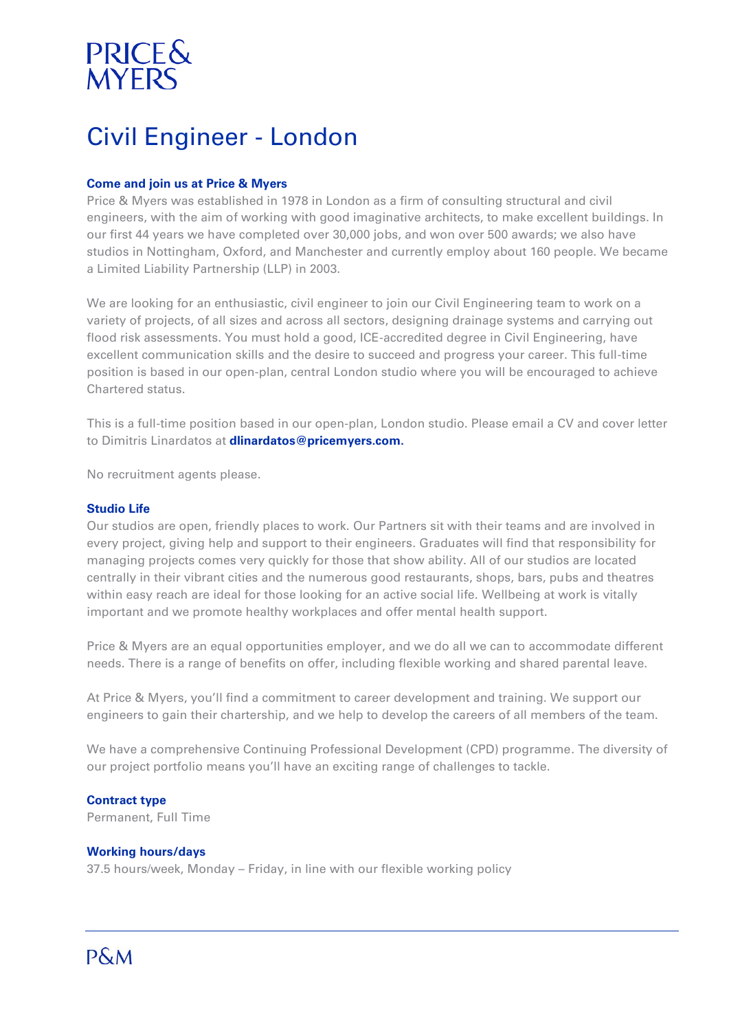# PRICE&<br>MYERS

# Civil Engineer - London

### **Come and join us at Price & Myers**

Price & Myers was established in 1978 in London as a firm of consulting structural and civil engineers, with the aim of working with good imaginative architects, to make excellent buildings. In our first 44 years we have completed over 30,000 jobs, and won over 500 awards; we also have studios in Nottingham, Oxford, and Manchester and currently employ about 160 people. We became a Limited Liability Partnership (LLP) in 2003.

We are looking for an enthusiastic, civil engineer to join our Civil Engineering team to work on a variety of projects, of all sizes and across all sectors, designing drainage systems and carrying out flood risk assessments. You must hold a good, ICE-accredited degree in Civil Engineering, have excellent communication skills and the desire to succeed and progress your career. This full-time position is based in our open-plan, central London studio where you will be encouraged to achieve Chartered status.

This is a full-time position based in our open-plan, London studio. Please email a CV and cover letter to Dimitris Linardatos at **[dlinardatos@pricemyers.com.](dlinardatos@pricemyers.com)**

No recruitment agents please.

#### **Studio Life**

Our studios are open, friendly places to work. Our Partners sit with their teams and are involved in every project, giving help and support to their engineers. Graduates will find that responsibility for managing projects comes very quickly for those that show ability. All of our studios are located centrally in their vibrant cities and the numerous good restaurants, shops, bars, pubs and theatres within easy reach are ideal for those looking for an active social life. Wellbeing at work is vitally important and we promote healthy workplaces and offer mental health support.

Price & Myers are an equal opportunities employer, and we do all we can to accommodate different needs. There is a range of benefits on offer, including flexible working and shared parental leave.

At Price & Myers, you'll find a commitment to career development and training. We support our engineers to gain their chartership, and we help to develop the careers of all members of the team.

We have a comprehensive Continuing Professional Development (CPD) programme. The diversity of our project portfolio means you'll have an exciting range of challenges to tackle.

# **Contract type**

Permanent, Full Time

#### **Working hours/days**

37.5 hours/week, Monday – Friday, in line with our flexible working policy